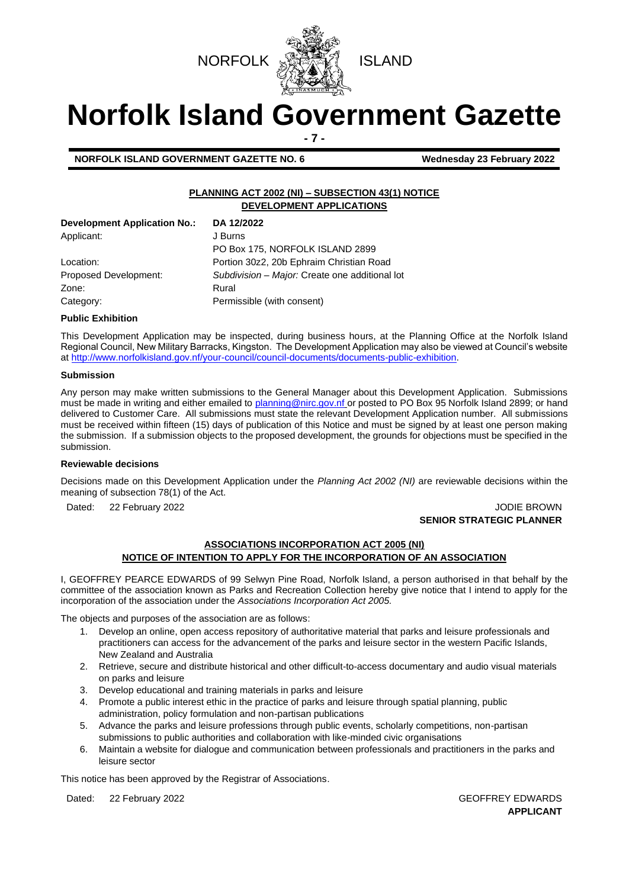



# **Norfolk Island Government Gazette - 7 -**

**NORFOLK ISLAND GOVERNMENT GAZETTE NO. 6 Wednesday 23 February 2022**

## **PLANNING ACT 2002 (NI) – SUBSECTION 43(1) NOTICE DEVELOPMENT APPLICATIONS**

| <b>Development Application No.:</b> | DA 12/2022                                     |
|-------------------------------------|------------------------------------------------|
| Applicant:                          | J Burns                                        |
|                                     | PO Box 175, NORFOLK ISLAND 2899                |
| Location:                           | Portion 30z2, 20b Ephraim Christian Road       |
| Proposed Development:               | Subdivision - Major: Create one additional lot |
| Zone:                               | Rural                                          |
| Category:                           | Permissible (with consent)                     |

### **Public Exhibition**

This Development Application may be inspected, during business hours, at the Planning Office at the Norfolk Island Regional Council, New Military Barracks, Kingston. The Development Application may also be viewed at Council's website a[t http://www.norfolkisland.gov.nf/your-council/council-documents/documents-public-exhibition.](http://www.norfolkisland.gov.nf/your-council/council-documents/documents-public-exhibition)

### **Submission**

Any person may make written submissions to the General Manager about this Development Application. Submissions must be made in writing and either emailed t[o planning@nirc.gov.nf](mailto:planning@nirc.gov.nf) or posted to PO Box 95 Norfolk Island 2899; or hand delivered to Customer Care. All submissions must state the relevant Development Application number. All submissions must be received within fifteen (15) days of publication of this Notice and must be signed by at least one person making the submission. If a submission objects to the proposed development, the grounds for objections must be specified in the submission.

### **Reviewable decisions**

Decisions made on this Development Application under the *Planning Act 2002 (NI)* are reviewable decisions within the meaning of subsection 78(1) of the Act.

Dated: 22 February 2022 **John Brown Control Control Control Control Control Control Control Control Control Control Control Control Control Control Control Control Control Control Control Control Control Control Control Co** 

# **SENIOR STRATEGIC PLANNER**

## **ASSOCIATIONS INCORPORATION ACT 2005 (NI) NOTICE OF INTENTION TO APPLY FOR THE INCORPORATION OF AN ASSOCIATION**

I, GEOFFREY PEARCE EDWARDS of 99 Selwyn Pine Road, Norfolk Island, a person authorised in that behalf by the committee of the association known as Parks and Recreation Collection hereby give notice that I intend to apply for the incorporation of the association under the *Associations Incorporation Act 2005.*

The objects and purposes of the association are as follows:

- 1. Develop an online, open access repository of authoritative material that parks and leisure professionals and practitioners can access for the advancement of the parks and leisure sector in the western Pacific Islands, New Zealand and Australia
- 2. Retrieve, secure and distribute historical and other difficult-to-access documentary and audio visual materials on parks and leisure
- 3. Develop educational and training materials in parks and leisure
- 4. Promote a public interest ethic in the practice of parks and leisure through spatial planning, public administration, policy formulation and non-partisan publications
- 5. Advance the parks and leisure professions through public events, scholarly competitions, non-partisan submissions to public authorities and collaboration with like-minded civic organisations
- 6. Maintain a website for dialogue and communication between professionals and practitioners in the parks and leisure sector

This notice has been approved by the Registrar of Associations.

Dated: 22 February 2022 **GEOFFREY EDWARDS** 

**APPLICANT**